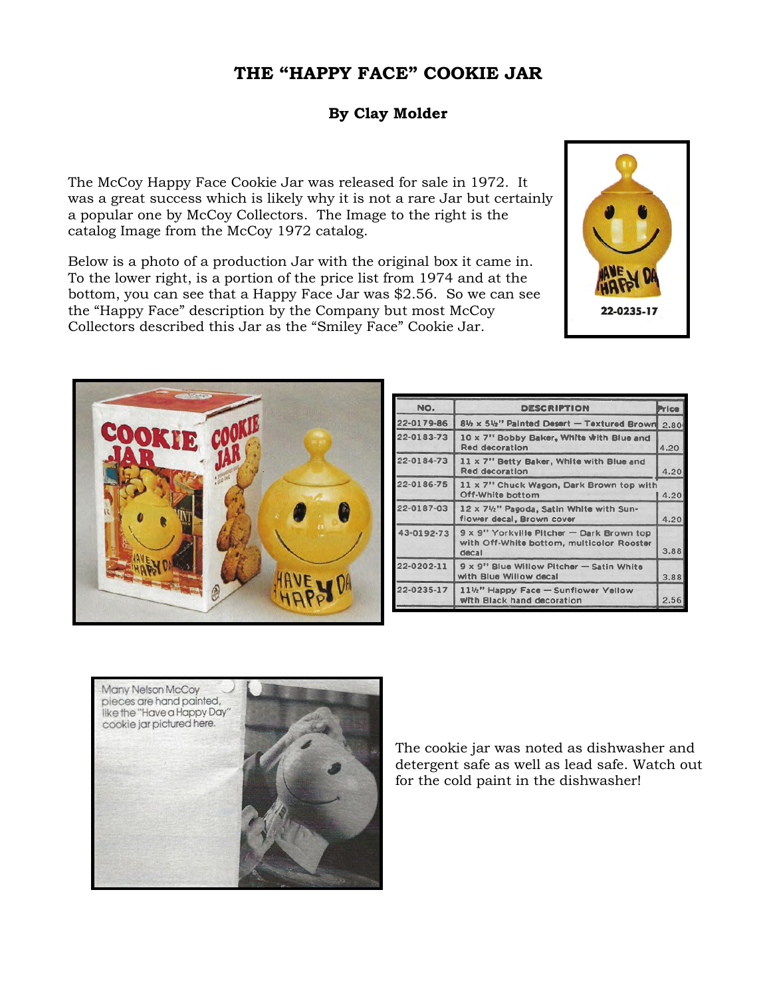## **THE "HAPPY FACE" COOKIE JAR**

## **By Clay Molder**

The McCoy Happy Face Cookie Jar was released for sale in 1972. It was a great success which is likely why it is not a rare Jar but certainly a popular one by McCoy Collectors. The Image to the right is the catalog Image from the McCoy 1972 catalog.

Below is a photo of a production Jar with the original box it came in. To the lower right, is a portion of the price list from 1974 and at the bottom, you can see that a Happy Face Jar was \$2.56. So we can see the "Happy Face" description by the Company but most McCoy Collectors described this Jar as the "Smiley Face" Cookie Jar.





| NO.        | <b>DESCRIPTION</b>                                                                              | <b>Price</b> |
|------------|-------------------------------------------------------------------------------------------------|--------------|
| 22-0179-86 | 81/2 x 51/2" Painted Desert - Textured Brown                                                    | 2.80         |
| 22-0183-73 | 10 x 7" Bobby Baker, White With Blue and<br><b>Red decoration</b>                               | 4.20         |
| 22-0184-73 | 11 x 7" Betty Baker, White with Blue and<br><b>Red decoration</b>                               | 4.20         |
| 22-0186-75 | 11 x 7" Chuck Wagon, Dark Brown top with<br>Off-White bottom                                    | 4.20         |
| 22-0187-03 | 12 x 71/2" Pagoda, Satin White with Sun-<br>flower decal, Brown cover                           | 4.20         |
| 43-0192-73 | 9 x 9" Yorkville Pitcher - Dark Brown top<br>with Off-White bottom, multicolor Rooster<br>decal | 3.88         |
| 22-0202-11 | 9 x 9" Blue Willow Pitcher - Satin White<br>with Blue Willow decal                              | 3.88         |
| 22-0235-17 | 11½" Happy Face - Sunflower Yellow<br>with Black hand decoration                                | 2.56         |



The cookie jar was noted as dishwasher and detergent safe as well as lead safe. Watch out for the cold paint in the dishwasher!